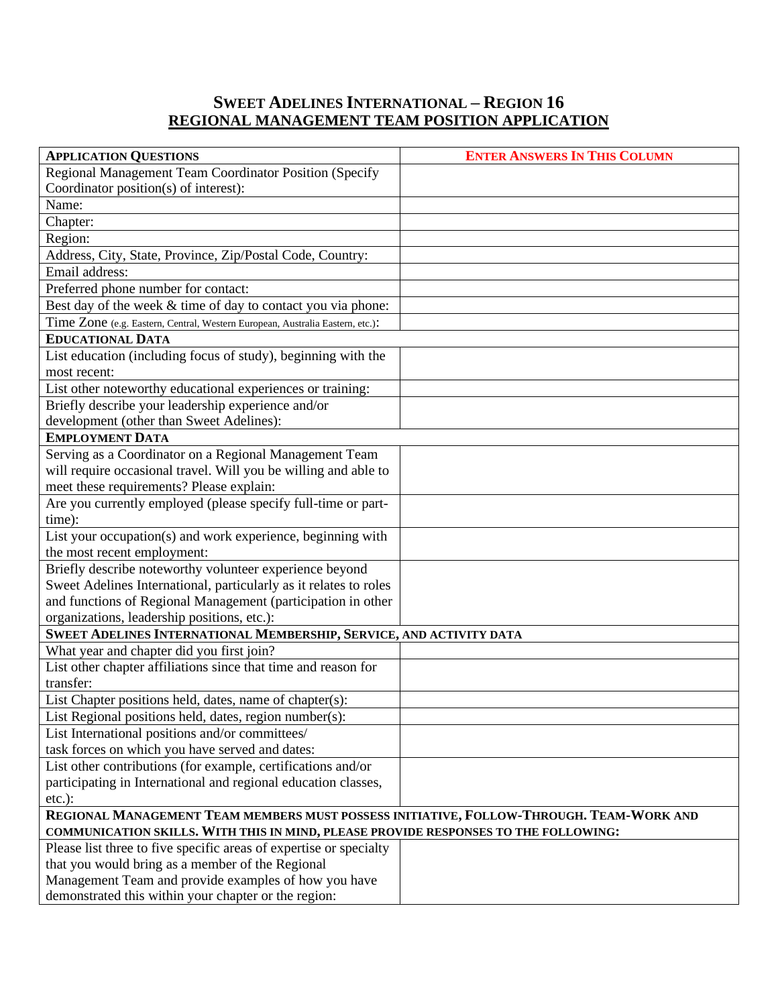## **SWEET ADELINES INTERNATIONAL – REGION 16 REGIONAL MANAGEMENT TEAM POSITION APPLICATION**

| <b>APPLICATION QUESTIONS</b>                                                            | <b>ENTER ANSWERS IN THIS COLUMN</b> |  |
|-----------------------------------------------------------------------------------------|-------------------------------------|--|
| Regional Management Team Coordinator Position (Specify                                  |                                     |  |
| Coordinator position(s) of interest):                                                   |                                     |  |
| Name:                                                                                   |                                     |  |
| Chapter:                                                                                |                                     |  |
| Region:                                                                                 |                                     |  |
| Address, City, State, Province, Zip/Postal Code, Country:                               |                                     |  |
| Email address:                                                                          |                                     |  |
| Preferred phone number for contact:                                                     |                                     |  |
| Best day of the week & time of day to contact you via phone:                            |                                     |  |
| Time Zone (e.g. Eastern, Central, Western European, Australia Eastern, etc.):           |                                     |  |
| <b>EDUCATIONAL DATA</b>                                                                 |                                     |  |
| List education (including focus of study), beginning with the                           |                                     |  |
| most recent:                                                                            |                                     |  |
| List other noteworthy educational experiences or training:                              |                                     |  |
| Briefly describe your leadership experience and/or                                      |                                     |  |
| development (other than Sweet Adelines):                                                |                                     |  |
| <b>EMPLOYMENT DATA</b>                                                                  |                                     |  |
| Serving as a Coordinator on a Regional Management Team                                  |                                     |  |
| will require occasional travel. Will you be willing and able to                         |                                     |  |
| meet these requirements? Please explain:                                                |                                     |  |
| Are you currently employed (please specify full-time or part-                           |                                     |  |
| time):                                                                                  |                                     |  |
| List your occupation(s) and work experience, beginning with                             |                                     |  |
| the most recent employment:                                                             |                                     |  |
| Briefly describe noteworthy volunteer experience beyond                                 |                                     |  |
| Sweet Adelines International, particularly as it relates to roles                       |                                     |  |
| and functions of Regional Management (participation in other                            |                                     |  |
| organizations, leadership positions, etc.):                                             |                                     |  |
| SWEET ADELINES INTERNATIONAL MEMBERSHIP, SERVICE, AND ACTIVITY DATA                     |                                     |  |
| What year and chapter did you first join?                                               |                                     |  |
| List other chapter affiliations since that time and reason for                          |                                     |  |
| transfer:                                                                               |                                     |  |
| List Chapter positions held, dates, name of chapter(s):                                 |                                     |  |
| List Regional positions held, dates, region number(s):                                  |                                     |  |
| List International positions and/or committees/                                         |                                     |  |
| task forces on which you have served and dates:                                         |                                     |  |
| List other contributions (for example, certifications and/or                            |                                     |  |
| participating in International and regional education classes,                          |                                     |  |
| $etc.$ ):                                                                               |                                     |  |
| REGIONAL MANAGEMENT TEAM MEMBERS MUST POSSESS INITIATIVE, FOLLOW-THROUGH. TEAM-WORK AND |                                     |  |
| COMMUNICATION SKILLS. WITH THIS IN MIND, PLEASE PROVIDE RESPONSES TO THE FOLLOWING:     |                                     |  |
| Please list three to five specific areas of expertise or specialty                      |                                     |  |
| that you would bring as a member of the Regional                                        |                                     |  |
| Management Team and provide examples of how you have                                    |                                     |  |
| demonstrated this within your chapter or the region:                                    |                                     |  |